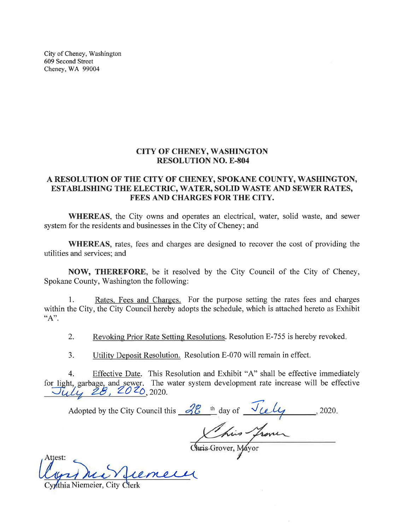City of Cheney, Washington 609 Second Street Cheney, WA 99004

## **CITY OF CHENEY, WASHINGTON RESOLUTION NO. E-804**

## A RESOLUTION OF THE CITY OF CHENEY, SPOKANE COUNTY, WASHINGTON, ESTABLISHING THE ELECTRIC, WATER, SOLID WASTE AND SEWER RATES, FEES AND CHARGES FOR THE CITY.

WHEREAS, the City owns and operates an electrical, water, solid waste, and sewer system for the residents and businesses in the City of Cheney; and

WHEREAS, rates, fees and charges are designed to recover the cost of providing the utilities and services; and

NOW, THEREFORE, be it resolved by the City Council of the City of Cheney, Spokane County, Washington the following:

Rates, Fees and Charges. For the purpose setting the rates fees and charges 1. within the City, the City Council hereby adopts the schedule, which is attached hereto as Exhibit "A".

 $2.$ Revoking Prior Rate Setting Resolutions. Resolution E-755 is hereby revoked.

 $\overline{3}$ . Utility Deposit Resolution. Resolution E-070 will remain in effect.

Effective Date. This Resolution and Exhibit "A" shall be effective immediately  $4<sup>1</sup>$ for light, garbage, and sewer. The water system development rate increase will be effective  $J\hat{u}l\hat{u}$   $\hat{Z}B$ ,  $ZO ZO$ , 2020.

Adopted by the City Council this <u>2<sup>2</sup> th</sub></u> day of <u>July</u>, 2020.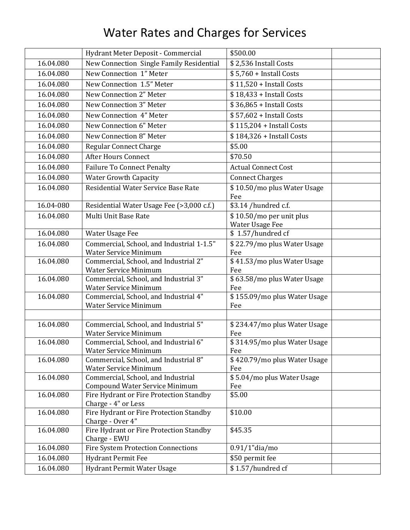## Water Rates and Charges for Services

|           | Hydrant Meter Deposit - Commercial                                          | \$500.00                                    |  |
|-----------|-----------------------------------------------------------------------------|---------------------------------------------|--|
| 16.04.080 | New Connection Single Family Residential                                    | \$2,536 Install Costs                       |  |
| 16.04.080 | New Connection 1" Meter                                                     | $$5,760 + Initial Costs$                    |  |
| 16.04.080 | New Connection 1.5" Meter                                                   | \$11,520 + Install Costs                    |  |
| 16.04.080 | New Connection 2" Meter                                                     | \$18,433 + Install Costs                    |  |
| 16.04.080 | New Connection 3" Meter                                                     | \$36,865 + Install Costs                    |  |
| 16.04.080 | New Connection 4" Meter                                                     | \$57,602 + Install Costs                    |  |
| 16.04.080 | New Connection 6" Meter                                                     | \$115,204 + Install Costs                   |  |
| 16.04.080 | New Connection 8" Meter                                                     | \$184,326 + Install Costs                   |  |
| 16.04.080 | <b>Regular Connect Charge</b>                                               | \$5.00                                      |  |
| 16.04.080 | <b>After Hours Connect</b>                                                  | \$70.50                                     |  |
| 16.04.080 | <b>Failure To Connect Penalty</b>                                           | <b>Actual Connect Cost</b>                  |  |
| 16.04.080 | <b>Water Growth Capacity</b>                                                | <b>Connect Charges</b>                      |  |
| 16.04.080 | Residential Water Service Base Rate                                         | \$10.50/mo plus Water Usage<br>Fee          |  |
| 16.04-080 | Residential Water Usage Fee (>3,000 c.f.)                                   | \$3.14 /hundred c.f.                        |  |
| 16.04.080 | Multi Unit Base Rate                                                        | \$10.50/mo per unit plus<br>Water Usage Fee |  |
| 16.04.080 | Water Usage Fee                                                             | \$1.57/hundred cf                           |  |
| 16.04.080 | Commercial, School, and Industrial 1-1.5"<br><b>Water Service Minimum</b>   | \$22.79/mo plus Water Usage<br>Fee          |  |
| 16.04.080 | Commercial, School, and Industrial 2"<br><b>Water Service Minimum</b>       | \$41.53/mo plus Water Usage<br>Fee          |  |
| 16.04.080 | Commercial, School, and Industrial 3"<br><b>Water Service Minimum</b>       | \$63.58/mo plus Water Usage<br>Fee          |  |
| 16.04.080 | Commercial, School, and Industrial 4"<br><b>Water Service Minimum</b>       | \$155.09/mo plus Water Usage<br>Fee         |  |
|           |                                                                             |                                             |  |
| 16.04.080 | Commercial, School, and Industrial 5"<br><b>Water Service Minimum</b>       | \$234.47/mo plus Water Usage<br>Fee         |  |
| 16.04.080 | Commercial, School, and Industrial 6"<br><b>Water Service Minimum</b>       | \$314.95/mo plus Water Usage<br>Fee         |  |
| 16.04.080 | Commercial, School, and Industrial 8"<br>Water Service Minimum              | \$420.79/mo plus Water Usage<br>Fee         |  |
| 16.04.080 | Commercial, School, and Industrial<br><b>Compound Water Service Minimum</b> | \$5.04/mo plus Water Usage<br>Fee           |  |
| 16.04.080 | Fire Hydrant or Fire Protection Standby<br>Charge - 4" or Less              | \$5.00                                      |  |
| 16.04.080 | Fire Hydrant or Fire Protection Standby<br>Charge - Over 4"                 | \$10.00                                     |  |
| 16.04.080 | Fire Hydrant or Fire Protection Standby<br>Charge - EWU                     | \$45.35                                     |  |
| 16.04.080 | <b>Fire System Protection Connections</b>                                   | $0.91/1$ "dia/mo                            |  |
| 16.04.080 | <b>Hydrant Permit Fee</b>                                                   | \$50 permit fee                             |  |
| 16.04.080 | Hydrant Permit Water Usage                                                  | $\overline{\$$ 1.57/hundred cf              |  |